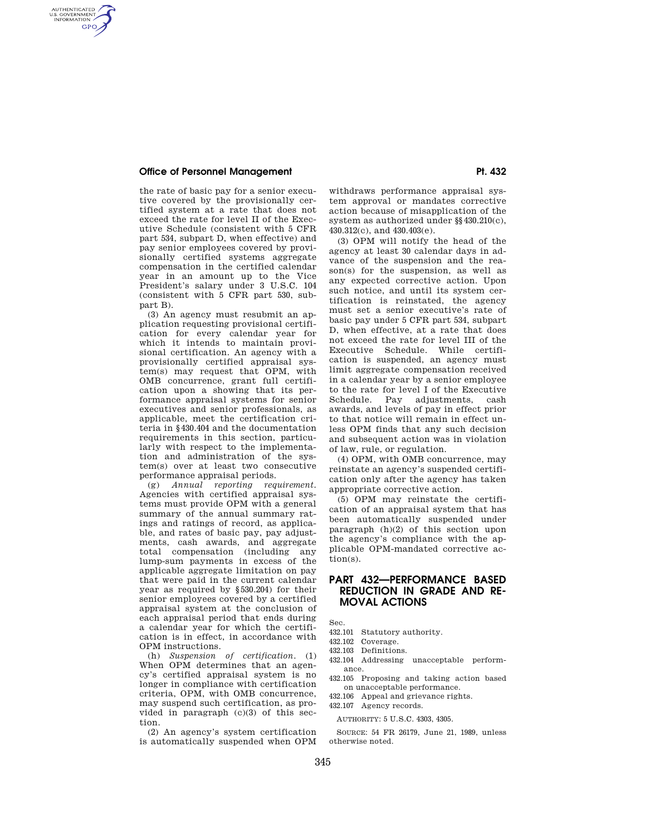# **Office of Personnel Management Pt. 432**

AUTHENTICATED<br>U.S. GOVERNMENT<br>INFORMATION **GPO** 

> the rate of basic pay for a senior executive covered by the provisionally certified system at a rate that does not exceed the rate for level II of the Executive Schedule (consistent with 5 CFR part 534, subpart D, when effective) and pay senior employees covered by provisionally certified systems aggregate compensation in the certified calendar year in an amount up to the Vice President's salary under 3 U.S.C. 104 (consistent with 5 CFR part 530, subpart B).

> (3) An agency must resubmit an application requesting provisional certification for every calendar year for which it intends to maintain provisional certification. An agency with a provisionally certified appraisal system(s) may request that OPM, with OMB concurrence, grant full certification upon a showing that its performance appraisal systems for senior executives and senior professionals, as applicable, meet the certification criteria in §430.404 and the documentation requirements in this section, particularly with respect to the implementation and administration of the system(s) over at least two consecutive performance appraisal periods.

> (g) *Annual reporting requirement*. Agencies with certified appraisal systems must provide OPM with a general summary of the annual summary ratings and ratings of record, as applicable, and rates of basic pay, pay adjustments, cash awards, and aggregate total compensation (including any lump-sum payments in excess of the applicable aggregate limitation on pay that were paid in the current calendar year as required by §530.204) for their senior employees covered by a certified appraisal system at the conclusion of each appraisal period that ends during a calendar year for which the certification is in effect, in accordance with OPM instructions.

> (h) *Suspension of certification*. (1) When OPM determines that an agency's certified appraisal system is no longer in compliance with certification criteria, OPM, with OMB concurrence, may suspend such certification, as provided in paragraph  $(c)(3)$  of this section.

> (2) An agency's system certification is automatically suspended when OPM

withdraws performance appraisal system approval or mandates corrective action because of misapplication of the system as authorized under §§430.210(c), 430.312(c), and 430.403(e).

(3) OPM will notify the head of the agency at least 30 calendar days in advance of the suspension and the reason(s) for the suspension, as well as any expected corrective action. Upon such notice, and until its system certification is reinstated, the agency must set a senior executive's rate of basic pay under 5 CFR part 534, subpart D, when effective, at a rate that does not exceed the rate for level III of the Executive Schedule. While certification is suspended, an agency must limit aggregate compensation received in a calendar year by a senior employee to the rate for level I of the Executive Schedule. Pay adjustments, cash awards, and levels of pay in effect prior to that notice will remain in effect unless OPM finds that any such decision and subsequent action was in violation of law, rule, or regulation.

(4) OPM, with OMB concurrence, may reinstate an agency's suspended certification only after the agency has taken appropriate corrective action.

(5) OPM may reinstate the certification of an appraisal system that has been automatically suspended under paragraph (h)(2) of this section upon the agency's compliance with the applicable OPM-mandated corrective action(s).

# **PART 432—PERFORMANCE BASED REDUCTION IN GRADE AND RE-MOVAL ACTIONS**

Sec.

- 432.101 Statutory authority.
- 432.102 Coverage.
- 432.103 Definitions.
- 432.104 Addressing unacceptable performance.
- 432.105 Proposing and taking action based on unacceptable performance.
- 432.106 Appeal and grievance rights.
- 432.107 Agency records.

AUTHORITY: 5 U.S.C. 4303, 4305.

SOURCE: 54 FR 26179, June 21, 1989, unless otherwise noted.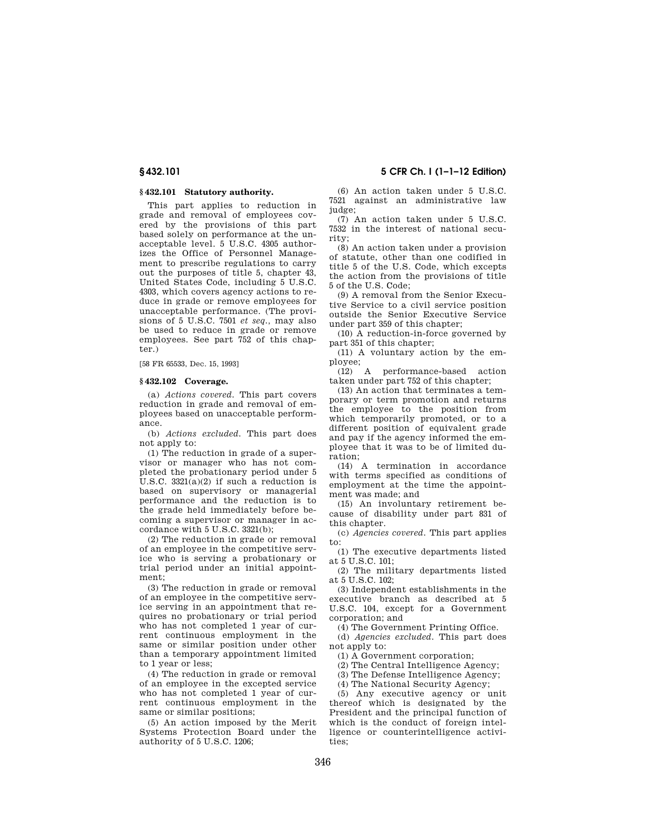# **§ 432.101 Statutory authority.**

This part applies to reduction in grade and removal of employees covered by the provisions of this part based solely on performance at the unacceptable level. 5 U.S.C. 4305 authorizes the Office of Personnel Management to prescribe regulations to carry out the purposes of title 5, chapter 43, United States Code, including 5 U.S.C. 4303, which covers agency actions to reduce in grade or remove employees for unacceptable performance. (The provisions of 5 U.S.C. 7501 *et seq.,* may also be used to reduce in grade or remove employees. See part 752 of this chapter.)

[58 FR 65533, Dec. 15, 1993]

## **§ 432.102 Coverage.**

(a) *Actions covered.* This part covers reduction in grade and removal of employees based on unacceptable performance.

(b) *Actions excluded.* This part does not apply to:

(1) The reduction in grade of a supervisor or manager who has not completed the probationary period under 5 U.S.C.  $3321(a)(2)$  if such a reduction is based on supervisory or managerial performance and the reduction is to the grade held immediately before becoming a supervisor or manager in accordance with 5 U.S.C. 3321(b);

(2) The reduction in grade or removal of an employee in the competitive service who is serving a probationary or trial period under an initial appointment;

(3) The reduction in grade or removal of an employee in the competitive service serving in an appointment that requires no probationary or trial period who has not completed 1 year of current continuous employment in the same or similar position under other than a temporary appointment limited to 1 year or less;

(4) The reduction in grade or removal of an employee in the excepted service who has not completed 1 year of current continuous employment in the same or similar positions;

(5) An action imposed by the Merit Systems Protection Board under the authority of 5 U.S.C. 1206;

(6) An action taken under 5 U.S.C. 7521 against an administrative law judge:

(7) An action taken under 5 U.S.C. 7532 in the interest of national security;

(8) An action taken under a provision of statute, other than one codified in title 5 of the U.S. Code, which excepts the action from the provisions of title 5 of the U.S. Code;

(9) A removal from the Senior Executive Service to a civil service position outside the Senior Executive Service under part 359 of this chapter;

(10) A reduction-in-force governed by part 351 of this chapter;

(11) A voluntary action by the employee;

(12) A performance-based action taken under part 752 of this chapter;

(13) An action that terminates a temporary or term promotion and returns the employee to the position from which temporarily promoted, or to a different position of equivalent grade and pay if the agency informed the employee that it was to be of limited duration;

(14) A termination in accordance with terms specified as conditions of employment at the time the appointment was made; and

(15) An involuntary retirement because of disability under part 831 of this chapter.

(c) *Agencies covered.* This part applies to:

(1) The executive departments listed at  $5$  U.S.C.  $101$ <sup> $\cdot$ </sup>

(2) The military departments listed at  $5$  U.S.C.  $102$ <sup>;</sup>

(3) Independent establishments in the executive branch as described at 5 U.S.C. 104, except for a Government corporation; and

(4) The Government Printing Office.

(d) *Agencies excluded.* This part does not apply to:

(1) A Government corporation;

(2) The Central Intelligence Agency;

(3) The Defense Intelligence Agency;

(4) The National Security Agency;

(5) Any executive agency or unit thereof which is designated by the President and the principal function of which is the conduct of foreign intelligence or counterintelligence activities;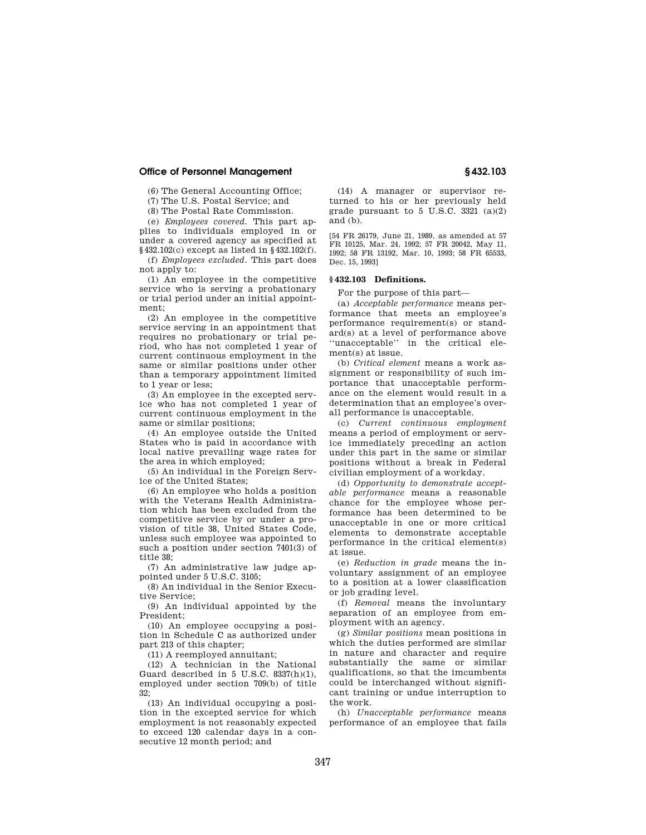## **Office of Personnel Management § 432.103**

(6) The General Accounting Office;

(7) The U.S. Postal Service; and

(8) The Postal Rate Commission.

(e) *Employees covered.* This part applies to individuals employed in or under a covered agency as specified at §432.102(c) except as listed in §432.102(f).

(f) *Employees excluded.* This part does not apply to:

(1) An employee in the competitive service who is serving a probationary or trial period under an initial appointment;

(2) An employee in the competitive service serving in an appointment that requires no probationary or trial period, who has not completed 1 year of current continuous employment in the same or similar positions under other than a temporary appointment limited to 1 year or less;

(3) An employee in the excepted service who has not completed 1 year of current continuous employment in the same or similar positions;

(4) An employee outside the United States who is paid in accordance with local native prevailing wage rates for the area in which employed;

(5) An individual in the Foreign Service of the United States;

(6) An employee who holds a position with the Veterans Health Administration which has been excluded from the competitive service by or under a provision of title 38, United States Code, unless such employee was appointed to such a position under section 7401(3) of title 38;

(7) An administrative law judge appointed under 5 U.S.C. 3105;

(8) An individual in the Senior Executive Service;

(9) An individual appointed by the President;

(10) An employee occupying a position in Schedule C as authorized under part 213 of this chapter;

(11) A reemployed annuitant;

(12) A technician in the National Guard described in 5 U.S.C. 8337(h)(1), employed under section 709(b) of title 32;

(13) An individual occupying a position in the excepted service for which employment is not reasonably expected to exceed 120 calendar days in a consecutive 12 month period; and

(14) A manager or supervisor returned to his or her previously held grade pursuant to  $5 \text{ U.S.C. } 3321 \text{ (a)}(2)$ and (b).

[54 FR 26179, June 21, 1989, as amended at 57 FR 10125, Mar. 24, 1992; 57 FR 20042, May 11, 1992; 58 FR 13192, Mar. 10, 1993; 58 FR 65533, Dec. 15, 1993]

# **§ 432.103 Definitions.**

For the purpose of this part—

(a) *Acceptable performance* means performance that meets an employee's performance requirement(s) or standard(s) at a level of performance above ''unacceptable'' in the critical element(s) at issue.

(b) *Critical element* means a work assignment or responsibility of such importance that unacceptable performance on the element would result in a determination that an employee's overall performance is unacceptable.

(c) *Current continuous employment*  means a period of employment or service immediately preceding an action under this part in the same or similar positions without a break in Federal civilian employment of a workday.

(d) *Opportunity to demonstrate acceptable performance* means a reasonable chance for the employee whose performance has been determined to be unacceptable in one or more critical elements to demonstrate acceptable performance in the critical element(s) at issue.

(e) *Reduction in grade* means the involuntary assignment of an employee to a position at a lower classification or job grading level.

(f) *Removal* means the involuntary separation of an employee from employment with an agency.

(g) *Similar positions* mean positions in which the duties performed are similar in nature and character and require substantially the same or similar qualifications, so that the imcumbents could be interchanged without significant training or undue interruption to the work.

(h) *Unacceptable performance* means performance of an employee that fails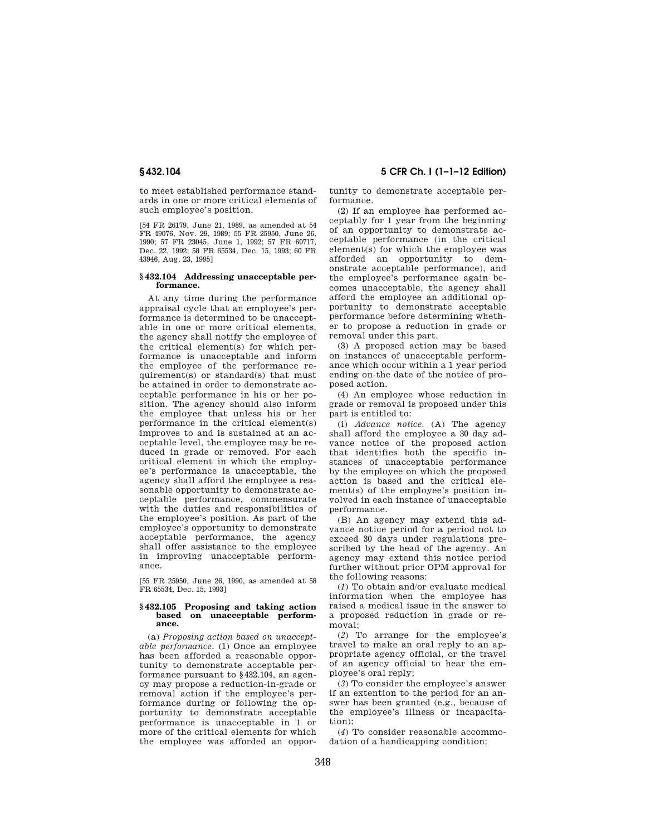to meet established performance standards in one or more critical elements of such employee's position.

[54 FR 26179, June 21, 1989, as amended at 54 FR 49076, Nov. 29, 1989; 55 FR 25950, June 26, 1990; 57 FR 23045, June 1, 1992; 57 FR 60717, Dec. 22, 1992; 58 FR 65534, Dec. 15, 1993; 60 FR 43946, Aug. 23, 1995]

#### **§ 432.104 Addressing unacceptable performance.**

At any time during the performance appraisal cycle that an employee's performance is determined to be unacceptable in one or more critical elements, the agency shall notify the employee of the critical element(s) for which performance is unacceptable and inform the employee of the performance requirement(s) or standard(s) that must be attained in order to demonstrate acceptable performance in his or her position. The agency should also inform the employee that unless his or her performance in the critical element(s) improves to and is sustained at an acceptable level, the employee may be reduced in grade or removed. For each critical element in which the employee's performance is unacceptable, the agency shall afford the employee a reasonable opportunity to demonstrate acceptable performance, commensurate with the duties and responsibilities of the employee's position. As part of the employee's opportunity to demonstrate acceptable performance, the agency shall offer assistance to the employee in improving unacceptable performance.

[55 FR 25950, June 26, 1990, as amended at 58 FR 65534, Dec. 15, 1993]

#### **§ 432.105 Proposing and taking action based on unacceptable performance.**

(a) *Proposing action based on unacceptable performance.* (1) Once an employee has been afforded a reasonable opportunity to demonstrate acceptable performance pursuant to §432.104, an agency may propose a reduction-in-grade or removal action if the employee's performance during or following the opportunity to demonstrate acceptable performance is unacceptable in 1 or more of the critical elements for which the employee was afforded an oppor-

# **§ 432.104 5 CFR Ch. I (1–1–12 Edition)**

tunity to demonstrate acceptable performance.

(2) If an employee has performed acceptably for 1 year from the beginning of an opportunity to demonstrate acceptable performance (in the critical element(s) for which the employee was afforded an opportunity to demonstrate acceptable performance), and the employee's performance again becomes unacceptable, the agency shall afford the employee an additional opportunity to demonstrate acceptable performance before determining whether to propose a reduction in grade or removal under this part.

(3) A proposed action may be based on instances of unacceptable performance which occur within a 1 year period ending on the date of the notice of proposed action.

(4) An employee whose reduction in grade or removal is proposed under this part is entitled to:

(i) *Advance notice.* (A) The agency shall afford the employee a 30 day advance notice of the proposed action that identifies both the specific instances of unacceptable performance by the employee on which the proposed action is based and the critical element(s) of the employee's position involved in each instance of unacceptable performance.

(B) An agency may extend this advance notice period for a period not to exceed 30 days under regulations prescribed by the head of the agency. An agency may extend this notice period further without prior OPM approval for the following reasons:

(*1*) To obtain and/or evaluate medical information when the employee has raised a medical issue in the answer to a proposed reduction in grade or removal;

(*2*) To arrange for the employee's travel to make an oral reply to an appropriate agency official, or the travel of an agency official to hear the employee's oral reply;

(*3*) To consider the employee's answer if an extention to the period for an answer has been granted (e.g., because of the employee's illness or incapacitation);

(*4*) To consider reasonable accommodation of a handicapping condition;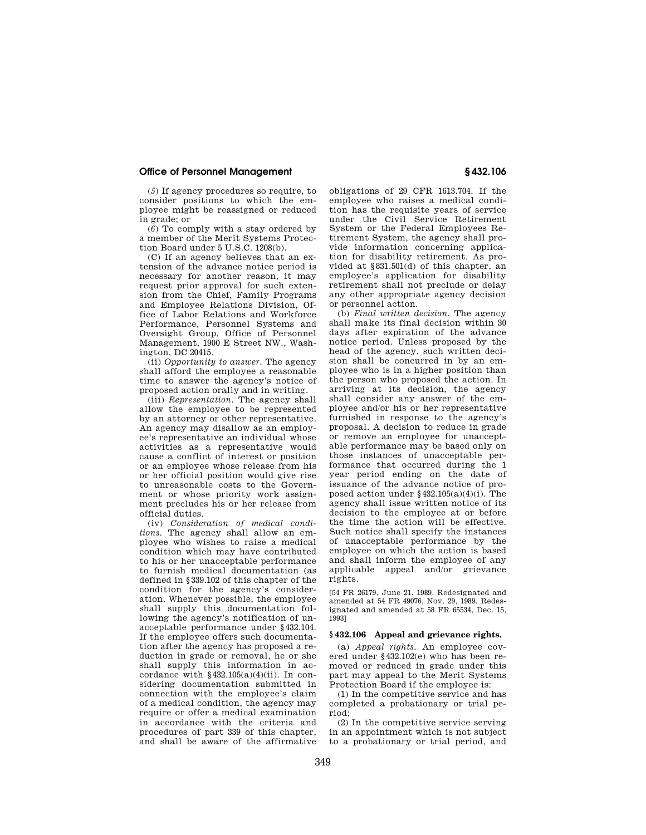# **Office of Personnel Management § 432.106**

(*5*) If agency procedures so require, to consider positions to which the employee might be reassigned or reduced in grade; or

(*6*) To comply with a stay ordered by a member of the Merit Systems Protection Board under 5 U.S.C. 1208(b).

(C) If an agency believes that an extension of the advance notice period is necessary for another reason, it may request prior approval for such extension from the Chief, Family Programs and Employee Relations Division, Office of Labor Relations and Workforce Performance, Personnel Systems and Oversight Group, Office of Personnel Management, 1900 E Street NW., Washington, DC 20415.

(ii) *Opportunity to answer.* The agency shall afford the employee a reasonable time to answer the agency's notice of proposed action orally and in writing.

(iii) *Representation.* The agency shall allow the employee to be represented by an attorney or other representative. An agency may disallow as an employee's representative an individual whose activities as a representative would cause a conflict of interest or position or an employee whose release from his or her official position would give rise to unreasonable costs to the Government or whose priority work assignment precludes his or her release from official duties.

(iv) *Consideration of medical conditions.* The agency shall allow an employee who wishes to raise a medical condition which may have contributed to his or her unacceptable performance to furnish medical documentation (as defined in §339.102 of this chapter of the condition for the agency's consideration. Whenever possible, the employee shall supply this documentation following the agency's notification of unacceptable performance under §432.104. If the employee offers such documentation after the agency has proposed a reduction in grade or removal, he or she shall supply this information in accordance with  $§432.105(a)(4)(ii)$ . In considering documentation submitted in connection with the employee's claim of a medical condition, the agency may require or offer a medical examination in accordance with the criteria and procedures of part 339 of this chapter, and shall be aware of the affirmative

obligations of 29 CFR 1613.704. If the employee who raises a medical condition has the requisite years of service under the Civil Service Retirement System or the Federal Employees Retirement System, the agency shall provide information concerning application for disability retirement. As provided at §831.501(d) of this chapter, an employee's application for disability retirement shall not preclude or delay any other appropriate agency decision or personnel action.

(b) *Final written decision.* The agency shall make its final decision within 30 days after expiration of the advance notice period. Unless proposed by the head of the agency, such written decision shall be concurred in by an employee who is in a higher position than the person who proposed the action. In arriving at its decision, the agency shall consider any answer of the employee and/or his or her representative furnished in response to the agency's proposal. A decision to reduce in grade or remove an employee for unacceptable performance may be based only on those instances of unacceptable performance that occurred during the 1 year period ending on the date of issuance of the advance notice of proposed action under  $§432.105(a)(4)(i)$ . The agency shall issue written notice of its decision to the employee at or before the time the action will be effective. Such notice shall specify the instances of unacceptable performance by the employee on which the action is based and shall inform the employee of any applicable appeal and/or grievance rights.

[54 FR 26179, June 21, 1989. Redesignated and amended at 54 FR 49076, Nov. 29, 1989. Redesignated and amended at 58 FR 65534, Dec. 15, 1993]

#### **§ 432.106 Appeal and grievance rights.**

(a) *Appeal rights.* An employee covered under §432.102(e) who has been removed or reduced in grade under this part may appeal to the Merit Systems Protection Board if the employee is:

(1) In the competitive service and has completed a probationary or trial period;

(2) In the competitive service serving in an appointment which is not subject to a probationary or trial period, and